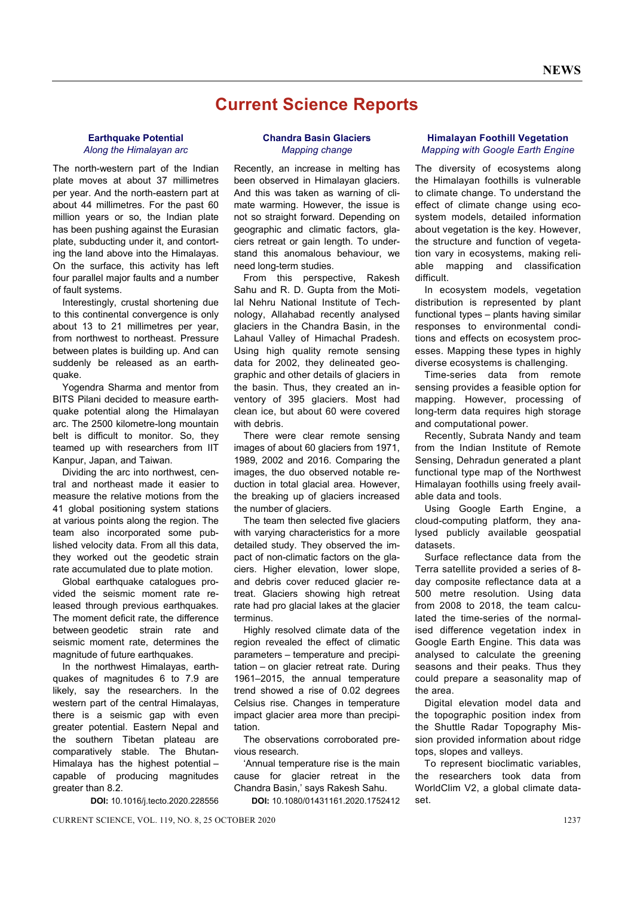# **Current Science Reports**

## **Earthquake Potential**  *Along the Himalayan arc*

The north-western part of the Indian plate moves at about 37 millimetres per year. And the north-eastern part at about 44 millimetres. For the past 60 million years or so, the Indian plate has been pushing against the Eurasian plate, subducting under it, and contorting the land above into the Himalayas. On the surface, this activity has left four parallel major faults and a number of fault systems.

 Interestingly, crustal shortening due to this continental convergence is only about 13 to 21 millimetres per year, from northwest to northeast. Pressure between plates is building up. And can suddenly be released as an earthquake.

 Yogendra Sharma and mentor from BITS Pilani decided to measure earthquake potential along the Himalayan arc. The 2500 kilometre-long mountain belt is difficult to monitor. So, they teamed up with researchers from IIT Kanpur, Japan, and Taiwan.

 Dividing the arc into northwest, central and northeast made it easier to measure the relative motions from the 41 global positioning system stations at various points along the region. The team also incorporated some published velocity data. From all this data, they worked out the geodetic strain rate accumulated due to plate motion.

Global earthquake catalogues provided the seismic moment rate released through previous earthquakes. The moment deficit rate, the difference between geodetic strain rate and seismic moment rate, determines the magnitude of future earthquakes.

 In the northwest Himalayas, earthquakes of magnitudes 6 to 7.9 are likely, say the researchers. In the western part of the central Himalayas, there is a seismic gap with even greater potential. Eastern Nepal and the southern Tibetan plateau are comparatively stable. The Bhutan-Himalaya has the highest potential – capable of producing magnitudes greater than 8.2.

**DOI:** 10.1016/j.tecto.2020.228556

#### **Chandra Basin Glaciers** *Mapping change*

Recently, an increase in melting has been observed in Himalayan glaciers. And this was taken as warning of climate warming. However, the issue is not so straight forward. Depending on geographic and climatic factors, glaciers retreat or gain length. To understand this anomalous behaviour, we need long-term studies.

 From this perspective, Rakesh Sahu and R. D. Gupta from the Motilal Nehru National Institute of Technology, Allahabad recently analysed glaciers in the Chandra Basin, in the Lahaul Valley of Himachal Pradesh. Using high quality remote sensing data for 2002, they delineated geographic and other details of glaciers in the basin. Thus, they created an inventory of 395 glaciers. Most had clean ice, but about 60 were covered with debris.

 There were clear remote sensing images of about 60 glaciers from 1971, 1989, 2002 and 2016. Comparing the images, the duo observed notable reduction in total glacial area. However, the breaking up of glaciers increased the number of glaciers.

 The team then selected five glaciers with varying characteristics for a more detailed study. They observed the impact of non-climatic factors on the glaciers. Higher elevation, lower slope, and debris cover reduced glacier retreat. Glaciers showing high retreat rate had pro glacial lakes at the glacier terminus.

 Highly resolved climate data of the region revealed the effect of climatic parameters – temperature and precipitation – on glacier retreat rate. During 1961–2015, the annual temperature trend showed a rise of 0.02 degrees Celsius rise. Changes in temperature impact glacier area more than precipitation.

 The observations corroborated previous research.

 'Annual temperature rise is the main cause for glacier retreat in the Chandra Basin,' says Rakesh Sahu.

**DOI:** 10.1080/01431161.2020.1752412

## **Himalayan Foothill Vegetation**  *Mapping with Google Earth Engine*

The diversity of ecosystems along the Himalayan foothills is vulnerable to climate change. To understand the effect of climate change using ecosystem models, detailed information about vegetation is the key. However, the structure and function of vegetation vary in ecosystems, making reliable mapping and classification difficult.

 In ecosystem models, vegetation distribution is represented by plant functional types – plants having similar responses to environmental conditions and effects on ecosystem processes. Mapping these types in highly diverse ecosystems is challenging.

 Time-series data from remote sensing provides a feasible option for mapping. However, processing of long-term data requires high storage and computational power.

 Recently, Subrata Nandy and team from the Indian Institute of Remote Sensing, Dehradun generated a plant functional type map of the Northwest Himalayan foothills using freely available data and tools.

 Using Google Earth Engine, a cloud-computing platform, they analysed publicly available geospatial datasets.

 Surface reflectance data from the Terra satellite provided a series of 8 day composite reflectance data at a 500 metre resolution. Using data from 2008 to 2018, the team calculated the time-series of the normalised difference vegetation index in Google Earth Engine. This data was analysed to calculate the greening seasons and their peaks. Thus they could prepare a seasonality map of the area.

 Digital elevation model data and the topographic position index from the Shuttle Radar Topography Mission provided information about ridge tops, slopes and valleys.

 To represent bioclimatic variables, the researchers took data from WorldClim V2, a global climate dataset.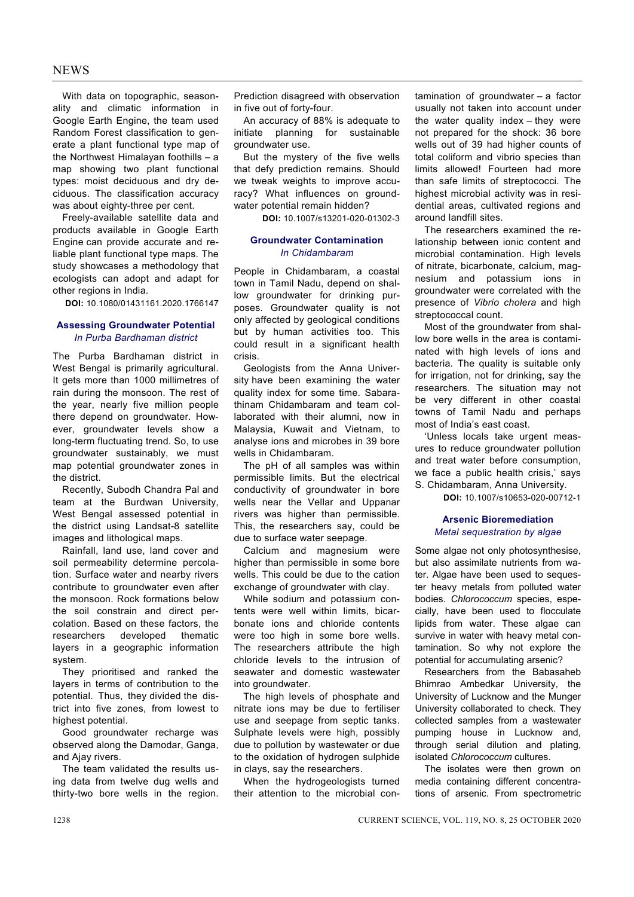# **NEWS**

 With data on topographic, seasonality and climatic information in Google Earth Engine, the team used Random Forest classification to generate a plant functional type map of the Northwest Himalayan foothills – a map showing two plant functional types: moist deciduous and dry deciduous. The classification accuracy was about eighty-three per cent.

 Freely-available satellite data and products available in Google Earth Engine can provide accurate and reliable plant functional type maps. The study showcases a methodology that ecologists can adopt and adapt for other regions in India.

**DOI:** 10.1080/01431161.2020.1766147

## **Assessing Groundwater Potential**  *In Purba Bardhaman district*

The Purba Bardhaman district in West Bengal is primarily agricultural. It gets more than 1000 millimetres of rain during the monsoon. The rest of the year, nearly five million people there depend on groundwater. However, groundwater levels show a long-term fluctuating trend. So, to use groundwater sustainably, we must map potential groundwater zones in the district.

 Recently, Subodh Chandra Pal and team at the Burdwan University, West Bengal assessed potential in the district using Landsat-8 satellite images and lithological maps.

 Rainfall, land use, land cover and soil permeability determine percolation. Surface water and nearby rivers contribute to groundwater even after the monsoon. Rock formations below the soil constrain and direct percolation. Based on these factors, the researchers developed thematic layers in a geographic information system.

 They prioritised and ranked the layers in terms of contribution to the potential. Thus, they divided the district into five zones, from lowest to highest potential.

 Good groundwater recharge was observed along the Damodar, Ganga, and Aiav rivers.

 The team validated the results using data from twelve dug wells and thirty-two bore wells in the region.

Prediction disagreed with observation in five out of forty-four.

 An accuracy of 88% is adequate to initiate planning for sustainable groundwater use.

 But the mystery of the five wells that defy prediction remains. Should we tweak weights to improve accuracy? What influences on groundwater potential remain hidden?

**DOI:** 10.1007/s13201-020-01302-3

## **Groundwater Contamination**  *In Chidambaram*

People in Chidambaram, a coastal town in Tamil Nadu, depend on shallow groundwater for drinking purposes. Groundwater quality is not only affected by geological conditions but by human activities too. This could result in a significant health crisis.

 Geologists from the Anna University have been examining the water quality index for some time. Sabarathinam Chidambaram and team collaborated with their alumni, now in Malaysia, Kuwait and Vietnam, to analyse ions and microbes in 39 bore wells in Chidambaram.

 The pH of all samples was within permissible limits. But the electrical conductivity of groundwater in bore wells near the Vellar and Uppanar rivers was higher than permissible. This, the researchers say, could be due to surface water seepage.

 Calcium and magnesium were higher than permissible in some bore wells. This could be due to the cation exchange of groundwater with clay.

 While sodium and potassium contents were well within limits, bicarbonate ions and chloride contents were too high in some bore wells. The researchers attribute the high chloride levels to the intrusion of seawater and domestic wastewater into groundwater.

 The high levels of phosphate and nitrate ions may be due to fertiliser use and seepage from septic tanks. Sulphate levels were high, possibly due to pollution by wastewater or due to the oxidation of hydrogen sulphide in clays, say the researchers.

When the hydrogeologists turned their attention to the microbial contamination of groundwater – a factor usually not taken into account under the water quality index – they were not prepared for the shock: 36 bore wells out of 39 had higher counts of total coliform and vibrio species than limits allowed! Fourteen had more than safe limits of streptococci. The highest microbial activity was in residential areas, cultivated regions and around landfill sites.

 The researchers examined the relationship between ionic content and microbial contamination. High levels of nitrate, bicarbonate, calcium, magnesium and potassium ions in groundwater were correlated with the presence of *Vibrio cholera* and high streptococcal count.

 Most of the groundwater from shallow bore wells in the area is contaminated with high levels of ions and bacteria. The quality is suitable only for irrigation, not for drinking, say the researchers. The situation may not be very different in other coastal towns of Tamil Nadu and perhaps most of India's east coast.

 'Unless locals take urgent measures to reduce groundwater pollution and treat water before consumption, we face a public health crisis,' says S. Chidambaram, Anna University.

**DOI:** 10.1007/s10653-020-00712-1

## **Arsenic Bioremediation**  *Metal sequestration by algae*

Some algae not only photosynthesise. but also assimilate nutrients from water. Algae have been used to sequester heavy metals from polluted water bodies. *Chlorococcum* species, especially, have been used to flocculate lipids from water. These algae can survive in water with heavy metal contamination. So why not explore the potential for accumulating arsenic?

 Researchers from the Babasaheb Bhimrao Ambedkar University, the University of Lucknow and the Munger University collaborated to check. They collected samples from a wastewater pumping house in Lucknow and, through serial dilution and plating, isolated *Chlorococcum* cultures.

 The isolates were then grown on media containing different concentrations of arsenic. From spectrometric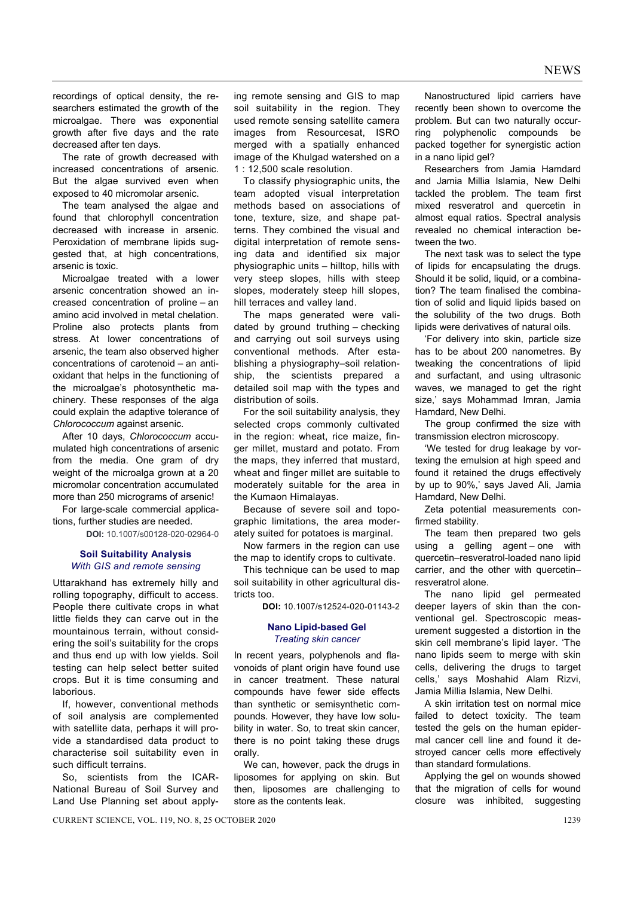recordings of optical density, the researchers estimated the growth of the microalgae. There was exponential growth after five days and the rate decreased after ten days.

 The rate of growth decreased with increased concentrations of arsenic. But the algae survived even when exposed to 40 micromolar arsenic.

 The team analysed the algae and found that chlorophyll concentration decreased with increase in arsenic. Peroxidation of membrane lipids suggested that, at high concentrations, arsenic is toxic.

 Microalgae treated with a lower arsenic concentration showed an increased concentration of proline – an amino acid involved in metal chelation. Proline also protects plants from stress. At lower concentrations of arsenic, the team also observed higher concentrations of carotenoid – an antioxidant that helps in the functioning of the microalgae's photosynthetic machinery. These responses of the alga could explain the adaptive tolerance of *Chlorococcum* against arsenic.

 After 10 days, *Chlorococcum* accumulated high concentrations of arsenic from the media. One gram of dry weight of the microalga grown at a 20 micromolar concentration accumulated more than 250 micrograms of arsenic!

 For large-scale commercial applications, further studies are needed.

**DOI:** 10.1007/s00128-020-02964-0

## **Soil Suitability Analysis** *With GIS and remote sensing*

Uttarakhand has extremely hilly and rolling topography, difficult to access. People there cultivate crops in what little fields they can carve out in the mountainous terrain, without considering the soil's suitability for the crops and thus end up with low yields. Soil testing can help select better suited crops. But it is time consuming and laborious.

 If, however, conventional methods of soil analysis are complemented with satellite data, perhaps it will provide a standardised data product to characterise soil suitability even in such difficult terrains.

 So, scientists from the ICAR-National Bureau of Soil Survey and Land Use Planning set about applying remote sensing and GIS to map soil suitability in the region. They used remote sensing satellite camera images from Resourcesat, ISRO merged with a spatially enhanced image of the Khulgad watershed on a 1 : 12,500 scale resolution.

 To classify physiographic units, the team adopted visual interpretation methods based on associations of tone, texture, size, and shape patterns. They combined the visual and digital interpretation of remote sensing data and identified six major physiographic units – hilltop, hills with very steep slopes, hills with steep slopes, moderately steep hill slopes, hill terraces and valley land.

 The maps generated were validated by ground truthing – checking and carrying out soil surveys using conventional methods. After establishing a physiography–soil relationship, the scientists prepared a detailed soil map with the types and distribution of soils.

 For the soil suitability analysis, they selected crops commonly cultivated in the region: wheat, rice maize, finger millet, mustard and potato. From the maps, they inferred that mustard, wheat and finger millet are suitable to moderately suitable for the area in the Kumaon Himalayas.

 Because of severe soil and topographic limitations, the area moderately suited for potatoes is marginal.

 Now farmers in the region can use the map to identify crops to cultivate.

 This technique can be used to map soil suitability in other agricultural districts too.

**DOI:** 10.1007/s12524-020-01143-2

#### **Nano Lipid-based Gel**  *Treating skin cancer*

In recent years, polyphenols and flavonoids of plant origin have found use in cancer treatment. These natural compounds have fewer side effects than synthetic or semisynthetic compounds. However, they have low solubility in water. So, to treat skin cancer, there is no point taking these drugs orally.

 We can, however, pack the drugs in liposomes for applying on skin. But then, liposomes are challenging to store as the contents leak.

 Nanostructured lipid carriers have recently been shown to overcome the problem. But can two naturally occurring polyphenolic compounds be packed together for synergistic action in a nano lipid gel?

 Researchers from Jamia Hamdard and Jamia Millia Islamia, New Delhi tackled the problem. The team first mixed resveratrol and quercetin in almost equal ratios. Spectral analysis revealed no chemical interaction between the two.

 The next task was to select the type of lipids for encapsulating the drugs. Should it be solid, liquid, or a combination? The team finalised the combination of solid and liquid lipids based on the solubility of the two drugs. Both lipids were derivatives of natural oils.

 'For delivery into skin, particle size has to be about 200 nanometres. By tweaking the concentrations of lipid and surfactant, and using ultrasonic waves, we managed to get the right size,' says Mohammad Imran, Jamia Hamdard, New Delhi.

The group confirmed the size with transmission electron microscopy.

 'We tested for drug leakage by vortexing the emulsion at high speed and found it retained the drugs effectively by up to 90%,' says Javed Ali, Jamia Hamdard, New Delhi.

 Zeta potential measurements confirmed stability.

 The team then prepared two gels using a gelling agent – one with quercetin–resveratrol-loaded nano lipid carrier, and the other with quercetin– resveratrol alone.

 The nano lipid gel permeated deeper layers of skin than the conventional gel. Spectroscopic measurement suggested a distortion in the skin cell membrane's lipid layer. 'The nano lipids seem to merge with skin cells, delivering the drugs to target cells,' says Moshahid Alam Rizvi, Jamia Millia Islamia, New Delhi.

 A skin irritation test on normal mice failed to detect toxicity. The team tested the gels on the human epidermal cancer cell line and found it destroyed cancer cells more effectively than standard formulations.

 Applying the gel on wounds showed that the migration of cells for wound closure was inhibited, suggesting